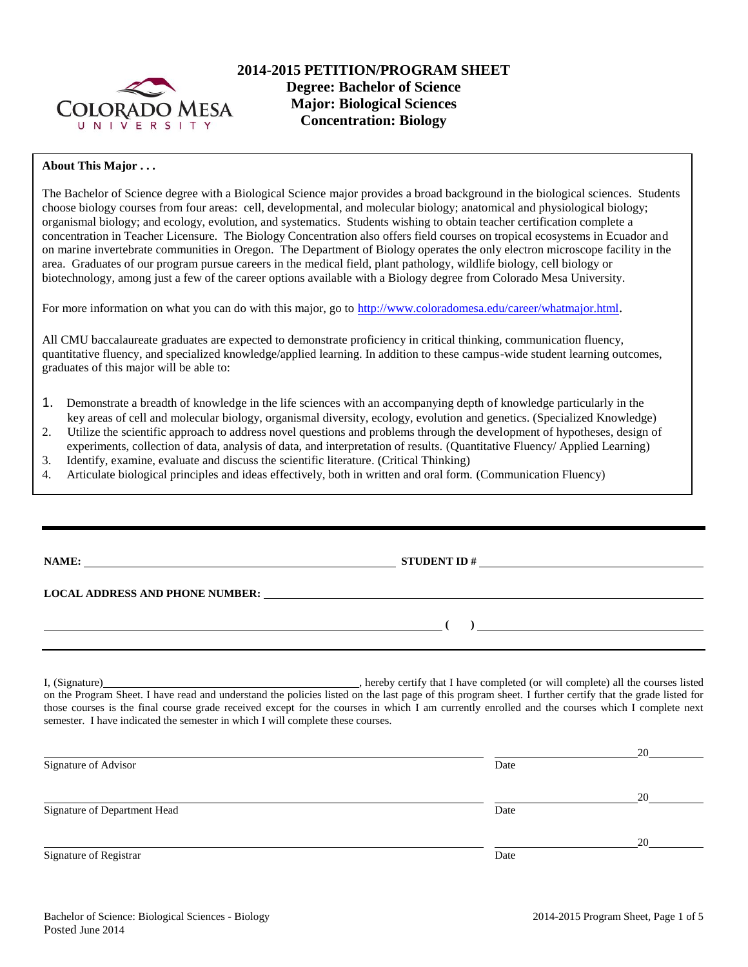

## **About This Major . . .**

The Bachelor of Science degree with a Biological Science major provides a broad background in the biological sciences. Students choose biology courses from four areas: cell, developmental, and molecular biology; anatomical and physiological biology; organismal biology; and ecology, evolution, and systematics. Students wishing to obtain teacher certification complete a concentration in Teacher Licensure. The Biology Concentration also offers field courses on tropical ecosystems in Ecuador and on marine invertebrate communities in Oregon. The Department of Biology operates the only electron microscope facility in the area. Graduates of our program pursue careers in the medical field, plant pathology, wildlife biology, cell biology or biotechnology, among just a few of the career options available with a Biology degree from Colorado Mesa University.

For more information on what you can do with this major, go to<http://www.coloradomesa.edu/career/whatmajor.html>.

All CMU baccalaureate graduates are expected to demonstrate proficiency in critical thinking, communication fluency, quantitative fluency, and specialized knowledge/applied learning. In addition to these campus-wide student learning outcomes, graduates of this major will be able to:

- 1. Demonstrate a breadth of knowledge in the life sciences with an accompanying depth of knowledge particularly in the key areas of cell and molecular biology, organismal diversity, ecology, evolution and genetics. (Specialized Knowledge)
- 2. Utilize the scientific approach to address novel questions and problems through the development of hypotheses, design of
- experiments, collection of data, analysis of data, and interpretation of results. (Quantitative Fluency/ Applied Learning) 3. Identify, examine, evaluate and discuss the scientific literature. (Critical Thinking)
- 
- 4. Articulate biological principles and ideas effectively, both in written and oral form. (Communication Fluency)

| v |
|---|
|   |

**NAMES IN STUDENT ID # LOCAL ADDRESS AND PHONE NUMBER:**

**( )** 

I, (Signature) , hereby certify that I have completed (or will complete) all the courses listed on the Program Sheet. I have read and understand the policies listed on the last page of this program sheet. I further certify that the grade listed for those courses is the final course grade received except for the courses in which I am currently enrolled and the courses which I complete next semester. I have indicated the semester in which I will complete these courses.

|                              |      | 20 |
|------------------------------|------|----|
| Signature of Advisor         | Date |    |
|                              |      | 20 |
| Signature of Department Head | Date |    |
|                              |      | 20 |
| Signature of Registrar       | Date |    |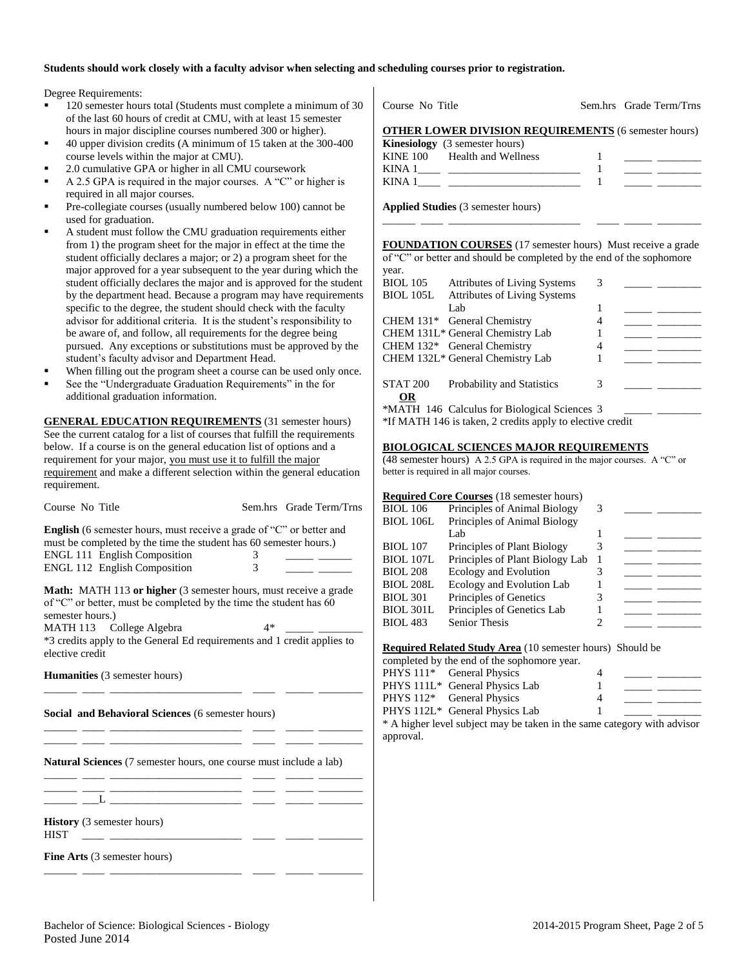### **Students should work closely with a faculty advisor when selecting and scheduling courses prior to registration.**

Degree Requirements:

- 120 semester hours total (Students must complete a minimum of 30 of the last 60 hours of credit at CMU, with at least 15 semester hours in major discipline courses numbered 300 or higher).
- 40 upper division credits (A minimum of 15 taken at the 300-400 course levels within the major at CMU).
- 2.0 cumulative GPA or higher in all CMU coursework
- A 2.5 GPA is required in the major courses. A "C" or higher is required in all major courses.
- Pre-collegiate courses (usually numbered below 100) cannot be used for graduation.
- A student must follow the CMU graduation requirements either from 1) the program sheet for the major in effect at the time the student officially declares a major; or 2) a program sheet for the major approved for a year subsequent to the year during which the student officially declares the major and is approved for the student by the department head. Because a program may have requirements specific to the degree, the student should check with the faculty advisor for additional criteria. It is the student's responsibility to be aware of, and follow, all requirements for the degree being pursued. Any exceptions or substitutions must be approved by the student's faculty advisor and Department Head.
- When filling out the program sheet a course can be used only once.
- See the "Undergraduate Graduation Requirements" in the for additional graduation information.

**GENERAL EDUCATION REQUIREMENTS** (31 semester hours) See the current catalog for a list of courses that fulfill the requirements below. If a course is on the general education list of options and a requirement for your major, you must use it to fulfill the major requirement and make a different selection within the general education requirement.

| Course No Title                                                                                                                                                                                                                |        | Sem.hrs Grade Term/Trns |
|--------------------------------------------------------------------------------------------------------------------------------------------------------------------------------------------------------------------------------|--------|-------------------------|
| <b>English</b> (6 semester hours, must receive a grade of "C" or better and<br>must be completed by the time the student has 60 semester hours.)<br><b>ENGL 111 English Composition</b><br><b>ENGL 112 English Composition</b> | 3<br>3 |                         |
| <b>Math:</b> MATH 113 or higher (3 semester hours, must receive a grade<br>of "C" or better, must be completed by the time the student has 60<br>semester hours.)                                                              |        |                         |
| MATH 113 College Algebra                                                                                                                                                                                                       | 4*     |                         |
| *3 credits apply to the General Ed requirements and 1 credit applies to<br>elective credit                                                                                                                                     |        |                         |
| <b>Humanities</b> (3 semester hours)                                                                                                                                                                                           |        |                         |

**Social and Behavioral Sciences** (6 semester hours)

**Natural Sciences** (7 semester hours, one course must include a lab) \_\_\_\_\_\_ \_\_\_\_ \_\_\_\_\_\_\_\_\_\_\_\_\_\_\_\_\_\_\_\_\_\_\_\_ \_\_\_\_ \_\_\_\_\_ \_\_\_\_\_\_\_\_

\_\_\_\_\_\_ \_\_\_\_ \_\_\_\_\_\_\_\_\_\_\_\_\_\_\_\_\_\_\_\_\_\_\_\_ \_\_\_\_ \_\_\_\_\_ \_\_\_\_\_\_\_\_ \_\_\_\_\_\_ \_\_\_\_ \_\_\_\_\_\_\_\_\_\_\_\_\_\_\_\_\_\_\_\_\_\_\_\_ \_\_\_\_ \_\_\_\_\_ \_\_\_\_\_\_\_\_

 $\_$   $\_$   $\_$   $\_$ 

**History** (3 semester hours)

**Fine Arts** (3 semester hours) \_\_\_\_\_\_ \_\_\_\_ \_\_\_\_\_\_\_\_\_\_\_\_\_\_\_\_\_\_\_\_\_\_\_\_ \_\_\_\_ \_\_\_\_\_ \_\_\_\_\_\_\_\_

| Course No Title                                             | Sem.hrs Grade Term/Trns |
|-------------------------------------------------------------|-------------------------|
| <b>OTHER LOWER DIVISION REQUIREMENTS (6 semester hours)</b> |                         |
| <b>Kinesiology</b> (3 semester hours)                       |                         |
| KINE 100 Health and Wellness                                |                         |
|                                                             |                         |
| KINA 1                                                      |                         |

**Applied Studies** (3 semester hours)

**FOUNDATION COURSES** (17 semester hours) Must receive a grade of "C" or better and should be completed by the end of the sophomore

\_\_\_\_\_\_ \_\_\_\_ \_\_\_\_\_\_\_\_\_\_\_\_\_\_\_\_\_\_\_\_\_\_\_\_ \_\_\_\_ \_\_\_\_\_ \_\_\_\_\_\_\_\_

| year.            |                                                           |   |  |
|------------------|-----------------------------------------------------------|---|--|
| <b>BIOL</b> 105  | <b>Attributes of Living Systems</b>                       | 3 |  |
| <b>BIOL 105L</b> | <b>Attributes of Living Systems</b>                       |   |  |
|                  | Lab                                                       |   |  |
|                  | CHEM 131* General Chemistry                               |   |  |
|                  | CHEM 131L* General Chemistry Lab                          |   |  |
|                  | CHEM 132* General Chemistry                               |   |  |
|                  | CHEM 132L* General Chemistry Lab                          |   |  |
|                  |                                                           |   |  |
| <b>STAT 200</b>  | Probability and Statistics                                | 3 |  |
| OR               |                                                           |   |  |
|                  | *MATH 146 Calculus for Biological Sciences 3              |   |  |
|                  | *If MATH 146 is taken, 2 credits apply to elective credit |   |  |
|                  |                                                           |   |  |

### **BIOLOGICAL SCIENCES MAJOR REQUIREMENTS**

(48 semester hours) A 2.5 GPA is required in the major courses. A "C" or better is required in all major courses.

#### **Required Core Courses** (18 semester hours)

| <b>BIOL</b> 106  | Principles of Animal Biology    | 3 |  |
|------------------|---------------------------------|---|--|
| <b>BIOL 106L</b> | Principles of Animal Biology    |   |  |
|                  | Lab                             |   |  |
| <b>BIOL</b> 107  | Principles of Plant Biology     |   |  |
| <b>BIOL 107L</b> | Principles of Plant Biology Lab |   |  |
| <b>BIOL 208</b>  | Ecology and Evolution           |   |  |
| <b>BIOL 208L</b> | Ecology and Evolution Lab       |   |  |
| <b>BIOL 301</b>  | Principles of Genetics          |   |  |
| <b>BIOL 301L</b> | Principles of Genetics Lab      |   |  |
| <b>BIOL 483</b>  | <b>Senior Thesis</b>            |   |  |
|                  |                                 |   |  |

**Required Related Study Area** (10 semester hours) Should be

|  | <b>Inequired Included Brudy Triba</b> (10 Scribster Hours) Briound be |   |  |
|--|-----------------------------------------------------------------------|---|--|
|  | completed by the end of the sophomore year.                           |   |  |
|  | PHYS 111 <sup>*</sup> General Physics                                 |   |  |
|  | PHYS 111L* General Physics Lab                                        |   |  |
|  | PHYS 112 <sup>*</sup> General Physics                                 | 4 |  |
|  | PHYS 112L* General Physics Lab                                        |   |  |
|  |                                                                       |   |  |

\* A higher level subject may be taken in the same category with advisor approval.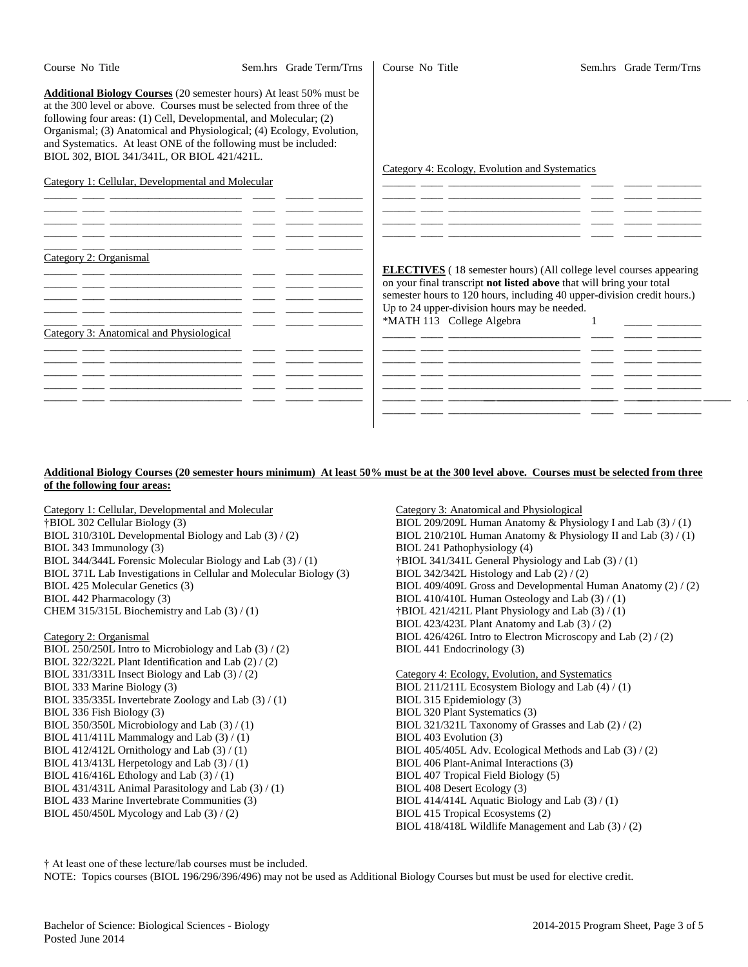| Course No Title                                                                                                | Sem.hrs Grade Term/Trns | Course No Title           |                                                                           | Sem.hrs Grade Term/Trns |
|----------------------------------------------------------------------------------------------------------------|-------------------------|---------------------------|---------------------------------------------------------------------------|-------------------------|
| <b>Additional Biology Courses</b> (20 semester hours) At least 50% must be                                     |                         |                           |                                                                           |                         |
| at the 300 level or above. Courses must be selected from three of the                                          |                         |                           |                                                                           |                         |
| following four areas: (1) Cell, Developmental, and Molecular; (2)                                              |                         |                           |                                                                           |                         |
| Organismal; (3) Anatomical and Physiological; (4) Ecology, Evolution,                                          |                         |                           |                                                                           |                         |
| and Systematics. At least ONE of the following must be included:<br>BIOL 302, BIOL 341/341L, OR BIOL 421/421L. |                         |                           |                                                                           |                         |
|                                                                                                                |                         |                           | Category 4: Ecology, Evolution and Systematics                            |                         |
| Category 1: Cellular, Developmental and Molecular                                                              |                         |                           |                                                                           |                         |
|                                                                                                                |                         |                           |                                                                           |                         |
|                                                                                                                |                         |                           |                                                                           |                         |
|                                                                                                                |                         |                           |                                                                           |                         |
|                                                                                                                |                         |                           |                                                                           |                         |
|                                                                                                                |                         |                           |                                                                           |                         |
| Category 2: Organismal                                                                                         |                         |                           |                                                                           |                         |
|                                                                                                                |                         |                           | <b>ELECTIVES</b> (18 semester hours) (All college level courses appearing |                         |
|                                                                                                                |                         |                           | on your final transcript not listed above that will bring your total      |                         |
|                                                                                                                |                         |                           | semester hours to 120 hours, including 40 upper-division credit hours.)   |                         |
|                                                                                                                |                         |                           | Up to 24 upper-division hours may be needed.                              |                         |
| Category 3: Anatomical and Physiological                                                                       |                         | *MATH 113 College Algebra |                                                                           |                         |
|                                                                                                                |                         |                           | <u> 22 marca - Antonio Alemania, amerikan persoa (h. 1882).</u>           |                         |
|                                                                                                                |                         |                           |                                                                           |                         |
|                                                                                                                |                         |                           |                                                                           |                         |
|                                                                                                                |                         |                           |                                                                           |                         |
|                                                                                                                |                         |                           |                                                                           |                         |
|                                                                                                                |                         |                           |                                                                           |                         |
|                                                                                                                |                         |                           |                                                                           |                         |
|                                                                                                                |                         |                           |                                                                           |                         |

#### **Additional Biology Courses (20 semester hours minimum) At least 50% must be at the 300 level above. Courses must be selected from three of the following four areas:**

Category 1: Cellular, Developmental and Molecular †BIOL 302 Cellular Biology (3) BIOL 310/310L Developmental Biology and Lab (3) / (2) BIOL 343 Immunology (3) BIOL 344/344L Forensic Molecular Biology and Lab (3) / (1) BIOL 371L Lab Investigations in Cellular and Molecular Biology (3) BIOL 425 Molecular Genetics (3) BIOL 442 Pharmacology (3) CHEM 315/315L Biochemistry and Lab (3) / (1)

Category 2: Organismal

BIOL 250/250L Intro to Microbiology and Lab (3) / (2) BIOL 322/322L Plant Identification and Lab (2) / (2) BIOL 331/331L Insect Biology and Lab (3) / (2) BIOL 333 Marine Biology (3) BIOL 335/335L Invertebrate Zoology and Lab (3) / (1) BIOL 336 Fish Biology (3) BIOL 350/350L Microbiology and Lab (3) / (1) BIOL 411/411L Mammalogy and Lab  $(3) / (1)$ BIOL 412/412L Ornithology and Lab (3) / (1) BIOL 413/413L Herpetology and Lab (3) / (1) BIOL 416/416L Ethology and Lab (3) / (1) BIOL 431/431L Animal Parasitology and Lab (3) / (1) BIOL 433 Marine Invertebrate Communities (3) BIOL 450/450L Mycology and Lab (3) / (2)

Category 3: Anatomical and Physiological BIOL 209/209L Human Anatomy & Physiology I and Lab (3) / (1) BIOL 210/210L Human Anatomy & Physiology II and Lab (3) / (1) BIOL 241 Pathophysiology (4) †BIOL 341/341L General Physiology and Lab (3) / (1) BIOL 342/342L Histology and Lab  $(2) / (2)$ BIOL 409/409L Gross and Developmental Human Anatomy (2) / (2) BIOL 410/410L Human Osteology and Lab (3) / (1) †BIOL 421/421L Plant Physiology and Lab (3) / (1) BIOL 423/423L Plant Anatomy and Lab (3) / (2) BIOL 426/426L Intro to Electron Microscopy and Lab (2) / (2) BIOL 441 Endocrinology (3)

Category 4: Ecology, Evolution, and Systematics BIOL 211/211L Ecosystem Biology and Lab (4) / (1) BIOL 315 Epidemiology (3) BIOL 320 Plant Systematics (3) BIOL 321/321L Taxonomy of Grasses and Lab (2) / (2) BIOL 403 Evolution (3) BIOL 405/405L Adv. Ecological Methods and Lab (3) / (2) BIOL 406 Plant-Animal Interactions (3) BIOL 407 Tropical Field Biology (5) BIOL 408 Desert Ecology (3) BIOL 414/414L Aquatic Biology and Lab (3) / (1) BIOL 415 Tropical Ecosystems (2) BIOL 418/418L Wildlife Management and Lab (3) / (2)

† At least one of these lecture/lab courses must be included.

NOTE: Topics courses (BIOL 196/296/396/496) may not be used as Additional Biology Courses but must be used for elective credit.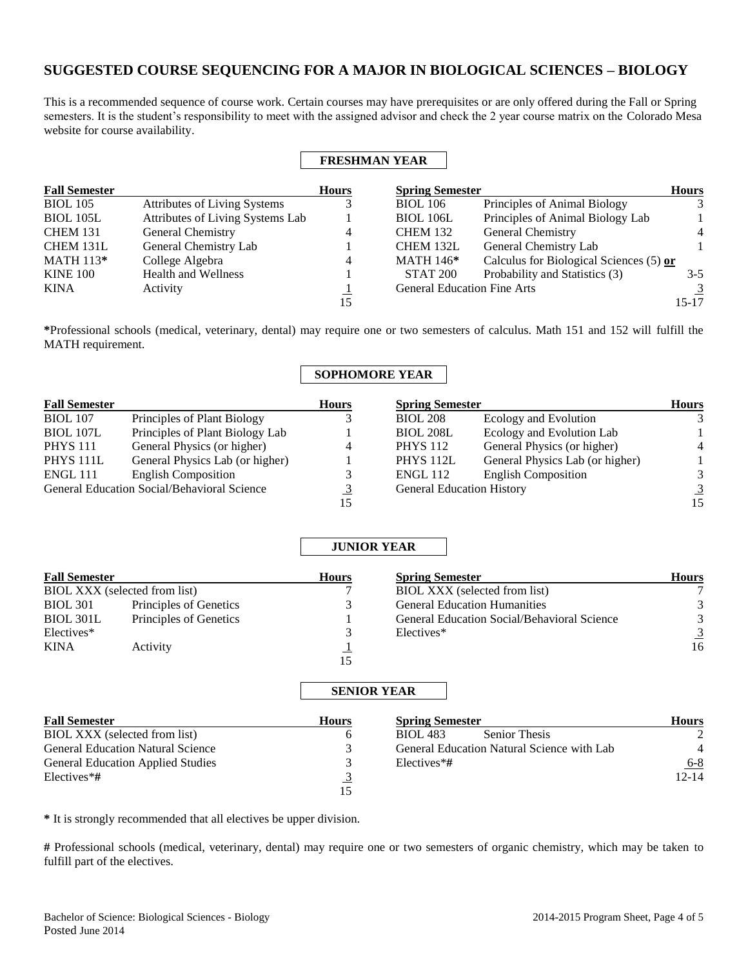# **SUGGESTED COURSE SEQUENCING FOR A MAJOR IN BIOLOGICAL SCIENCES – BIOLOGY**

This is a recommended sequence of course work. Certain courses may have prerequisites or are only offered during the Fall or Spring semesters. It is the student's responsibility to meet with the assigned advisor and check the 2 year course matrix on the Colorado Mesa website for course availability.

 $\mathbf{r}$ 

 $\Gamma$ 

|                      |                                     |              | <b>FRESHMAN YEAR</b>               |                                         |                |
|----------------------|-------------------------------------|--------------|------------------------------------|-----------------------------------------|----------------|
| <b>Fall Semester</b> |                                     | <b>Hours</b> | <b>Spring Semester</b>             |                                         | <b>Hours</b>   |
| <b>BIOL</b> 105      | <b>Attributes of Living Systems</b> |              | <b>BIOL</b> 106                    | Principles of Animal Biology            | 3              |
| BIOL 105L            | Attributes of Living Systems Lab    |              | <b>BIOL 106L</b>                   | Principles of Animal Biology Lab        |                |
| <b>CHEM 131</b>      | General Chemistry                   | 4            | <b>CHEM 132</b>                    | General Chemistry                       | $\overline{4}$ |
| CHEM 131L            | General Chemistry Lab               |              | CHEM 132L                          | General Chemistry Lab                   |                |
| <b>MATH 113*</b>     | College Algebra                     | 4            | <b>MATH 146*</b>                   | Calculus for Biological Sciences (5) or |                |
| <b>KINE 100</b>      | <b>Health and Wellness</b>          |              | <b>STAT 200</b>                    | Probability and Statistics (3)          | $3-5$          |
| <b>KINA</b>          | Activity                            |              | <b>General Education Fine Arts</b> |                                         | $\overline{3}$ |
|                      |                                     | 15           |                                    |                                         | 15-17          |

**\***Professional schools (medical, veterinary, dental) may require one or two semesters of calculus. Math 151 and 152 will fulfill the MATH requirement.

# **SOPHOMORE YEAR**

| <b>Fall Semester</b> |                                             | <b>Hours</b> | <b>Spring Semester</b>           |                                 | <b>Hours</b>   |
|----------------------|---------------------------------------------|--------------|----------------------------------|---------------------------------|----------------|
| <b>BIOL</b> 107      | Principles of Plant Biology                 |              | <b>BIOL 208</b>                  | Ecology and Evolution           |                |
| BIOL 107L            | Principles of Plant Biology Lab             |              | <b>BIOL 208L</b>                 | Ecology and Evolution Lab       |                |
| <b>PHYS</b> 111      | General Physics (or higher)                 | 4            | <b>PHYS</b> 112                  | General Physics (or higher)     | $\overline{4}$ |
| PHYS <sub>111L</sub> | General Physics Lab (or higher)             |              | PHYS 112L                        | General Physics Lab (or higher) |                |
| <b>ENGL 111</b>      | <b>English Composition</b>                  |              | <b>ENGL 112</b>                  | <b>English Composition</b>      | $\mathcal{R}$  |
|                      | General Education Social/Behavioral Science |              | <b>General Education History</b> |                                 | 3              |
|                      |                                             |              |                                  |                                 |                |

|                      |                               |              | <b>JUNIOR YEAR</b>                          |                |
|----------------------|-------------------------------|--------------|---------------------------------------------|----------------|
| <b>Fall Semester</b> |                               | <b>Hours</b> | <b>Spring Semester</b>                      | <b>Hours</b>   |
|                      | BIOL XXX (selected from list) |              | BIOL XXX (selected from list)               |                |
| <b>BIOL 301</b>      | Principles of Genetics        |              | <b>General Education Humanities</b>         |                |
| BIOL 301L            | Principles of Genetics        |              | General Education Social/Behavioral Science | 3              |
| Electives*           |                               |              | Electives*                                  | $\overline{3}$ |
| <b>KINA</b>          | Activity                      |              |                                             | 16             |
|                      |                               | 15           |                                             |                |

# **SENIOR YEAR**

| <b>Fall Semester</b>                     | <b>Hours</b> | <b>Spring Semester</b>                     | <b>Hours</b> |
|------------------------------------------|--------------|--------------------------------------------|--------------|
| BIOL XXX (selected from list)            |              | <b>BIOL 483</b><br><b>Senior Thesis</b>    |              |
| <b>General Education Natural Science</b> |              | General Education Natural Science with Lab | 4            |
| <b>General Education Applied Studies</b> |              | Electives*#                                | $6 - 8$      |
| $Electives*#$                            |              |                                            | $12 - 14$    |
|                                          | 15           |                                            |              |

**\*** It is strongly recommended that all electives be upper division.

**#** Professional schools (medical, veterinary, dental) may require one or two semesters of organic chemistry, which may be taken to fulfill part of the electives.